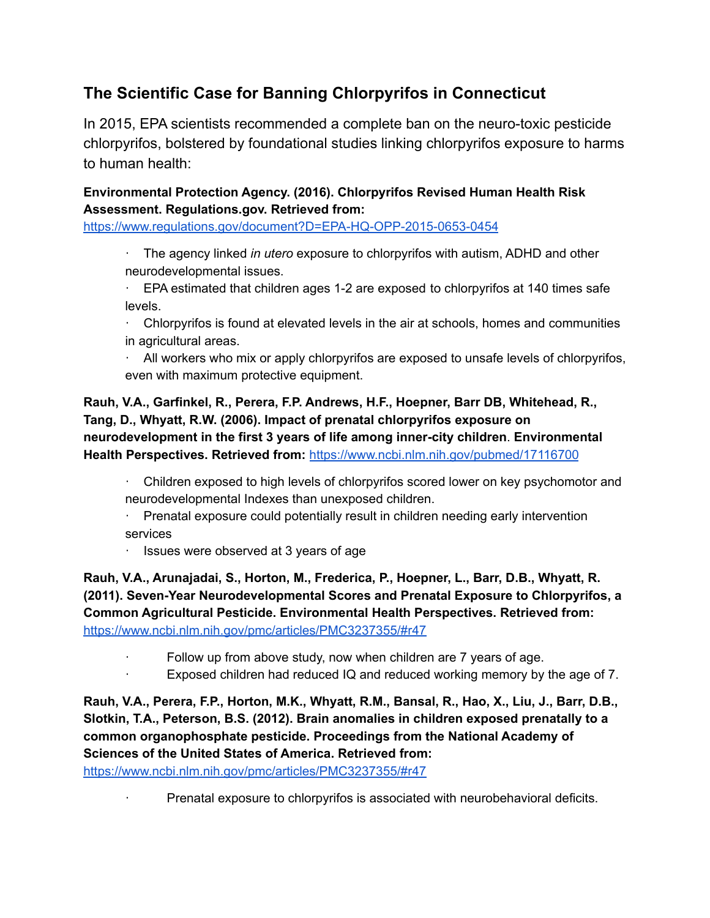# **The Scientific Case for Banning Chlorpyrifos in Connecticut**

In 2015, EPA scientists recommended a complete ban on the neuro-toxic pesticide chlorpyrifos, bolstered by foundational studies linking chlorpyrifos exposure to harms to human health:

## **Environmental Protection Agency. (2016). Chlorpyrifos Revised Human Health Risk Assessment. Regulations.gov. Retrieved from:**

<https://www.regulations.gov/document?D=EPA-HQ-OPP-2015-0653-0454>

· The agency linked *in utero* exposure to chlorpyrifos with autism, ADHD and other neurodevelopmental issues.

· EPA estimated that children ages 1-2 are exposed to chlorpyrifos at 140 times safe levels.

 $\cdot$  Chlorpyrifos is found at elevated levels in the air at schools, homes and communities in agricultural areas.

 $\cdot$  All workers who mix or apply chlorpyrifos are exposed to unsafe levels of chlorpyrifos, even with maximum protective equipment.

## **Rauh, V.A., Garfinkel, R., Perera, F.P. Andrews, H.F., Hoepner, Barr DB, Whitehead, R., Tang, D., Whyatt, R.W. (2006). Impact of prenatal chlorpyrifos exposure on neurodevelopment in the first 3 years of life among inner-city children**. **Environmental Health Perspectives. Retrieved from:** <https://www.ncbi.nlm.nih.gov/pubmed/17116700>

· Children exposed to high levels of chlorpyrifos scored lower on key psychomotor and neurodevelopmental Indexes than unexposed children.

- · Prenatal exposure could potentially result in children needing early intervention services
- · Issues were observed at 3 years of age

**Rauh, V.A., Arunajadai, S., Horton, M., Frederica, P., Hoepner, L., Barr, D.B., Whyatt, R. (2011). Seven-Year Neurodevelopmental Scores and Prenatal Exposure to Chlorpyrifos, a Common Agricultural Pesticide. Environmental Health Perspectives. Retrieved from:** <https://www.ncbi.nlm.nih.gov/pmc/articles/PMC3237355/#r47>

- Follow up from above study, now when children are 7 years of age.
- Exposed children had reduced IQ and reduced working memory by the age of 7.

**Rauh, V.A., Perera, F.P., Horton, M.K., Whyatt, R.M., Bansal, R., Hao, X., Liu, J., Barr, D.B., Slotkin, T.A., Peterson, B.S. (2012). Brain anomalies in children exposed prenatally to a common organophosphate pesticide. Proceedings from the National Academy of Sciences of the United States of America. Retrieved from:**

<https://www.ncbi.nlm.nih.gov/pmc/articles/PMC3237355/#r47>

· Prenatal exposure to chlorpyrifos is associated with neurobehavioral deficits.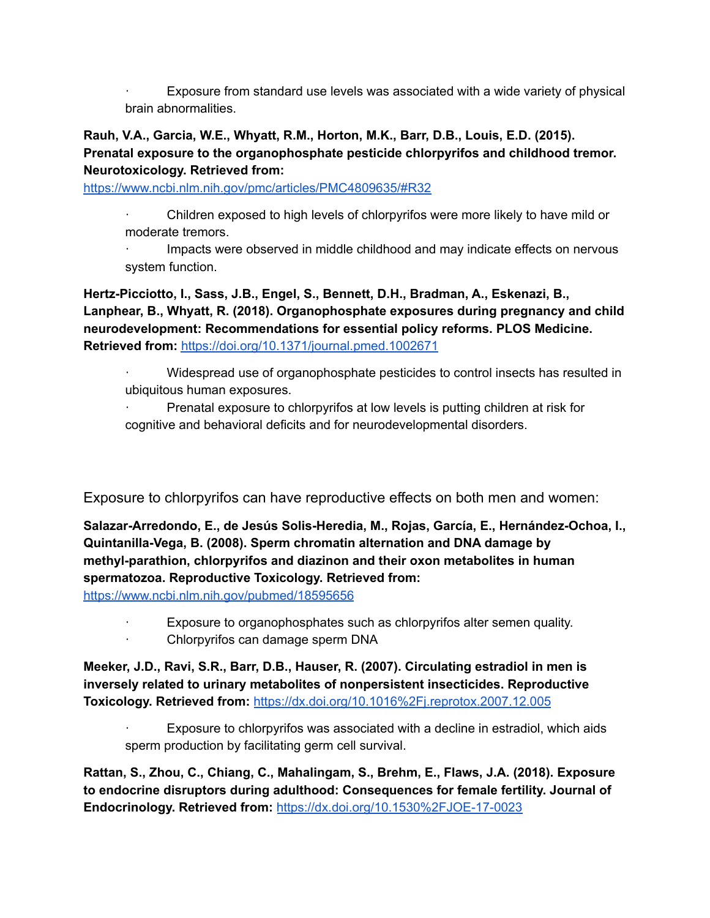Exposure from standard use levels was associated with a wide variety of physical brain abnormalities.

#### **Rauh, V.A., Garcia, W.E., Whyatt, R.M., Horton, M.K., Barr, D.B., Louis, E.D. (2015). Prenatal exposure to the organophosphate pesticide chlorpyrifos and childhood tremor. Neurotoxicology. Retrieved from[:](https://www.ncbi.nlm.nih.gov/pmc/articles/PMC4809635/#R32)**

<https://www.ncbi.nlm.nih.gov/pmc/articles/PMC4809635/#R32>

- · Children exposed to high levels of chlorpyrifos were more likely to have mild or moderate tremors.
- · Impacts were observed in middle childhood and may indicate effects on nervous system function.

**Hertz-Picciotto, I., Sass, J.B., Engel, S., Bennett, D.H., Bradman, A., Eskenazi, B., Lanphear, B., Whyatt, R. (2018). Organophosphate exposures during pregnancy and child neurodevelopment: Recommendations for essential policy reforms. PLOS Medicine. Retrieved from:** <https://doi.org/10.1371/journal.pmed.1002671>

- · Widespread use of organophosphate pesticides to control insects has resulted in ubiquitous human exposures.
- Prenatal exposure to chlorpyrifos at low levels is putting children at risk for cognitive and behavioral deficits and for neurodevelopmental disorders.

Exposure to chlorpyrifos can have reproductive effects on both men and women:

**Salazar-Arredondo, E., de Jesús Solis-Heredia, M., Rojas, García, E., Hernández-Ochoa, I., Quintanilla-Vega, B. (2008). Sperm chromatin alternation and DNA damage by methyl-parathion, chlorpyrifos and diazinon and their oxon metabolites in human spermatozoa. Reproductive Toxicology. Retrieved from:**

<https://www.ncbi.nlm.nih.gov/pubmed/18595656>

Exposure to organophosphates such as chlorpyrifos alter semen quality. · Chlorpyrifos can damage sperm DNA

**Meeker, J.D., Ravi, S.R., Barr, D.B., Hauser, R. (2007). Circulating estradiol in men is inversely related to urinary metabolites of nonpersistent insecticides. Reproductive Toxicology. Retrieved from:** <https://dx.doi.org/10.1016%2Fj.reprotox.2007.12.005>

Exposure to chlorpyrifos was associated with a decline in estradiol, which aids sperm production by facilitating germ cell survival.

**Rattan, S., Zhou, C., Chiang, C., Mahalingam, S., Brehm, E., Flaws, J.A. (2018). Exposure to endocrine disruptors during adulthood: Consequences for female fertility. Journal of Endocrinology. Retrieved from:** <https://dx.doi.org/10.1530%2FJOE-17-0023>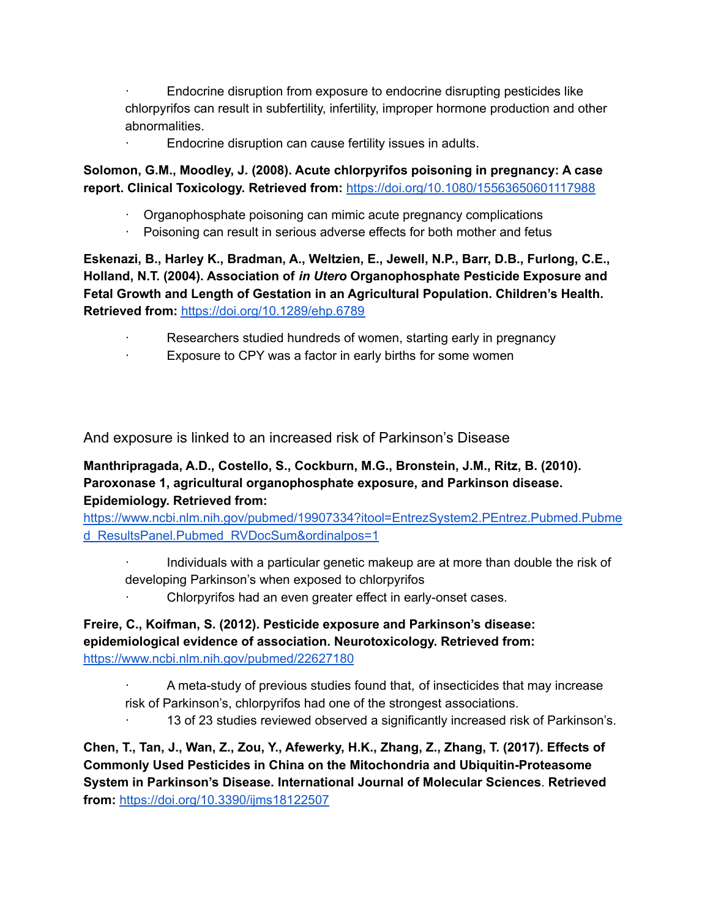· Endocrine disruption from exposure to endocrine disrupting pesticides like chlorpyrifos can result in subfertility, infertility, improper hormone production and other abnormalities.

Endocrine disruption can cause fertility issues in adults.

**Solomon, G.M., Moodley, J. (2008). Acute chlorpyrifos poisoning in pregnancy: A case report. Clinical Toxicology. Retrieved from:** <https://doi.org/10.1080/15563650601117988>

- · Organophosphate poisoning can mimic acute pregnancy complications
- · Poisoning can result in serious adverse effects for both mother and fetus

**Eskenazi, B., Harley K., Bradman, A., Weltzien, E., Jewell, N.P., Barr, D.B., Furlong, C.E., Holland, N.T. (2004). Association of** *in Utero* **Organophosphate Pesticide Exposure and Fetal Growth and Length of Gestation in an Agricultural Population. Children's Health. Retrieved from:** <https://doi.org/10.1289/ehp.6789>

- Researchers studied hundreds of women, starting early in pregnancy
	- Exposure to CPY was a factor in early births for some women

And exposure is linked to an increased risk of Parkinson's Disease

## **Manthripragada, A.D., Costello, S., Cockburn, M.G., Bronstein, J.M., Ritz, B. (2010). Paroxonase 1, agricultural organophosphate exposure, and Parkinson disease. Epidemiology. Retrieved from:**

[https://www.ncbi.nlm.nih.gov/pubmed/19907334?itool=EntrezSystem2.PEntrez.Pubmed.Pubme](https://www.ncbi.nlm.nih.gov/pubmed/19907334?itool=EntrezSystem2.PEntrez.Pubmed.Pubmed_ResultsPanel.Pubmed_RVDocSum&ordinalpos=1) [d\\_ResultsPanel.Pubmed\\_RVDocSum&ordinalpos=1](https://www.ncbi.nlm.nih.gov/pubmed/19907334?itool=EntrezSystem2.PEntrez.Pubmed.Pubmed_ResultsPanel.Pubmed_RVDocSum&ordinalpos=1)

- · Individuals with a particular genetic makeup are at more than double the risk of developing Parkinson's when exposed to chlorpyrifos
	- Chlorpyrifos had an even greater effect in early-onset cases.

#### **Freire, C., Koifman, S. (2012). Pesticide exposure and Parkinson's disease: epidemiological evidence of association. Neurotoxicology. Retrieved from[:](https://www.ncbi.nlm.nih.gov/pubmed/22627180)** <https://www.ncbi.nlm.nih.gov/pubmed/22627180>

- · A meta-study of previous studies found that, of insecticides that may increase risk of Parkinson's, chlorpyrifos had one of the strongest associations.
	- · 13 of 23 studies reviewed observed a significantly increased risk of Parkinson's.

**Chen, T., Tan, J., Wan, Z., Zou, Y., Afewerky, H.K., Zhang, Z., Zhang, T. (2017). Effects of Commonly Used Pesticides in China on the Mitochondria and Ubiquitin-Proteasome System in Parkinson's Disease. International Journal of Molecular Sciences**. **Retrieved from:** <https://doi.org/10.3390/ijms18122507>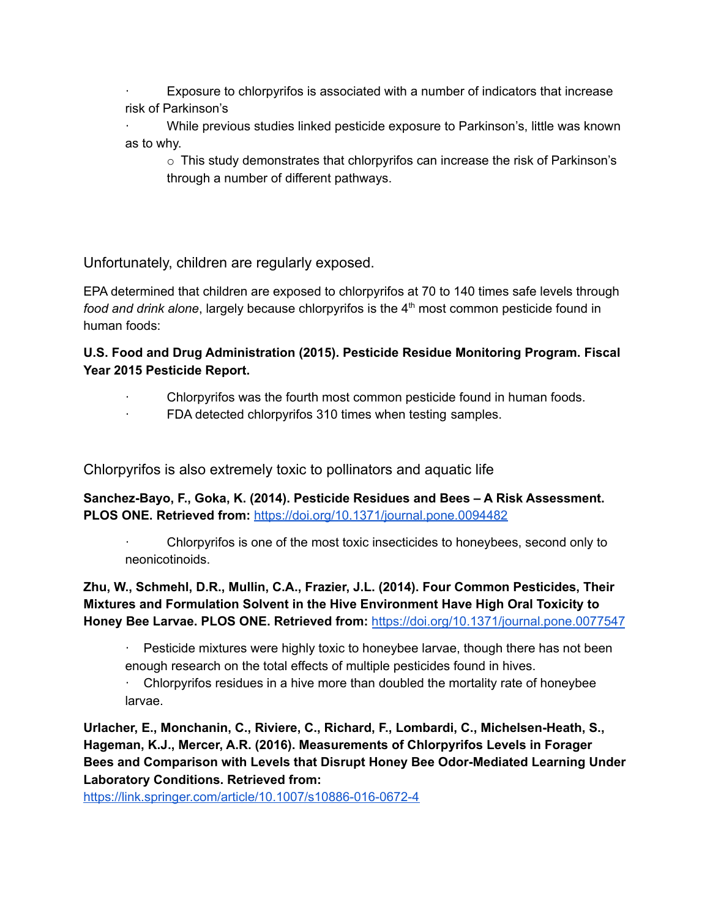Exposure to chlorpyrifos is associated with a number of indicators that increase risk of Parkinson's

· While previous studies linked pesticide exposure to Parkinson's, little was known as to why.

 $\circ$  This study demonstrates that chlorpyrifos can increase the risk of Parkinson's through a number of different pathways.

Unfortunately, children are regularly exposed.

EPA determined that children are exposed to chlorpyrifos at 70 to 140 times safe levels through food and drink alone, largely because chlorpyrifos is the 4<sup>th</sup> most common pesticide found in human foods:

## **U.S. Food and Drug Administration (2015). Pesticide Residue Monitoring Program. Fiscal Year 2015 Pesticide Report.**

- Chlorpyrifos was the fourth most common pesticide found in human foods.
	- FDA detected chlorpyrifos 310 times when testing samples.

Chlorpyrifos is also extremely toxic to pollinators and aquatic life

**Sanchez-Bayo, F., Goka, K. (2014). Pesticide Residues and Bees – A Risk Assessment. PLOS ONE. Retrieved from:** <https://doi.org/10.1371/journal.pone.0094482>

· Chlorpyrifos is one of the most toxic insecticides to honeybees, second only to neonicotinoids.

**Zhu, W., Schmehl, D.R., Mullin, C.A., Frazier, J.L. (2014). Four Common Pesticides, Their Mixtures and Formulation Solvent in the Hive Environment Have High Oral Toxicity to Honey Bee Larvae. PLOS ONE. Retrieved from:** <https://doi.org/10.1371/journal.pone.0077547>

Pesticide mixtures were highly toxic to honeybee larvae, though there has not been enough research on the total effects of multiple pesticides found in hives.

 $\cdot$  Chlorpyrifos residues in a hive more than doubled the mortality rate of honeybee larvae.

**Urlacher, E., Monchanin, C., Riviere, C., Richard, F., Lombardi, C., Michelsen-Heath, S., Hageman, K.J., Mercer, A.R. (2016). Measurements of Chlorpyrifos Levels in Forager Bees and Comparison with Levels that Disrupt Honey Bee Odor-Mediated Learning Under Laboratory Conditions. Retrieved from[:](https://link.springer.com/article/10.1007/s10886-016-0672-4)**

<https://link.springer.com/article/10.1007/s10886-016-0672-4>